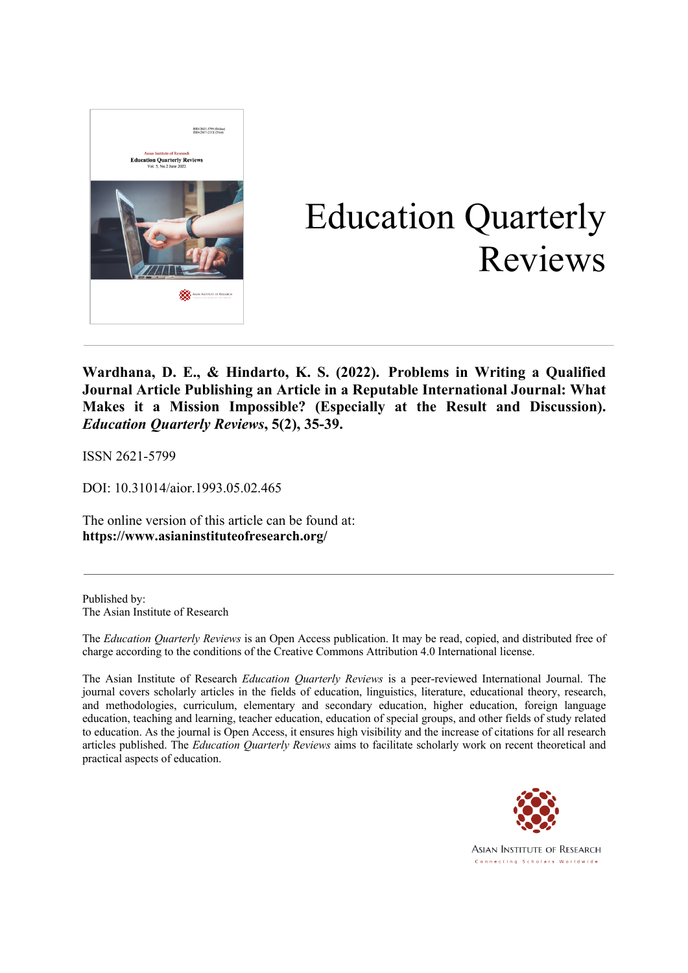

# Education Quarterly Reviews

**Wardhana, D. E., & Hindarto, K. S. (2022). Problems in Writing a Qualified Journal Article Publishing an Article in a Reputable International Journal: What Makes it a Mission Impossible? (Especially at the Result and Discussion).**  *Education Quarterly Reviews***, 5(2), 35-39.**

ISSN 2621-5799

DOI: 10.31014/aior.1993.05.02.465

The online version of this article can be found at: **https://www.asianinstituteofresearch.org/**

Published by: The Asian Institute of Research

The *Education Quarterly Reviews* is an Open Access publication. It may be read, copied, and distributed free of charge according to the conditions of the Creative Commons Attribution 4.0 International license.

The Asian Institute of Research *Education Quarterly Reviews* is a peer-reviewed International Journal. The journal covers scholarly articles in the fields of education, linguistics, literature, educational theory, research, and methodologies, curriculum, elementary and secondary education, higher education, foreign language education, teaching and learning, teacher education, education of special groups, and other fields of study related to education. As the journal is Open Access, it ensures high visibility and the increase of citations for all research articles published. The *Education Quarterly Reviews* aims to facilitate scholarly work on recent theoretical and practical aspects of education.



**ASIAN INSTITUTE OF RESEARCH** Connecting Scholars Worldwide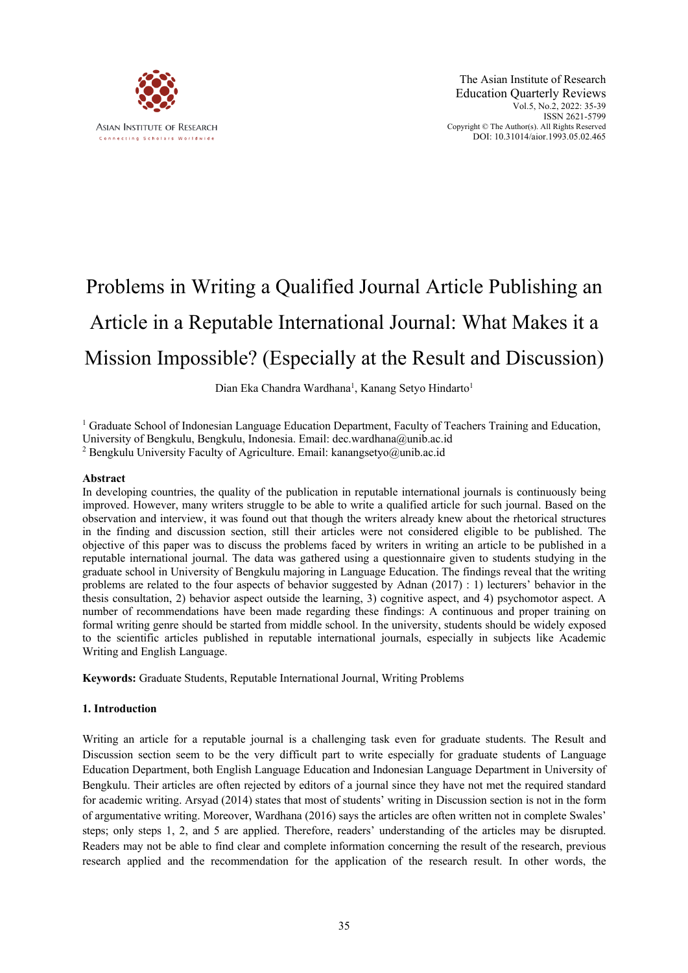

# Problems in Writing a Qualified Journal Article Publishing an Article in a Reputable International Journal: What Makes it a Mission Impossible? (Especially at the Result and Discussion)

# Dian Eka Chandra Wardhana<sup>1</sup>, Kanang Setyo Hindarto<sup>1</sup>

<sup>1</sup> Graduate School of Indonesian Language Education Department, Faculty of Teachers Training and Education, University of Bengkulu, Bengkulu, Indonesia. Email: dec.wardhana@unib.ac.id

<sup>2</sup> Bengkulu University Faculty of Agriculture. Email: kanangsetyo@unib.ac.id

### **Abstract**

In developing countries, the quality of the publication in reputable international journals is continuously being improved. However, many writers struggle to be able to write a qualified article for such journal. Based on the observation and interview, it was found out that though the writers already knew about the rhetorical structures in the finding and discussion section, still their articles were not considered eligible to be published. The objective of this paper was to discuss the problems faced by writers in writing an article to be published in a reputable international journal. The data was gathered using a questionnaire given to students studying in the graduate school in University of Bengkulu majoring in Language Education. The findings reveal that the writing problems are related to the four aspects of behavior suggested by Adnan (2017) : 1) lecturers' behavior in the thesis consultation, 2) behavior aspect outside the learning, 3) cognitive aspect, and 4) psychomotor aspect. A number of recommendations have been made regarding these findings: A continuous and proper training on formal writing genre should be started from middle school. In the university, students should be widely exposed to the scientific articles published in reputable international journals, especially in subjects like Academic Writing and English Language.

**Keywords:** Graduate Students, Reputable International Journal, Writing Problems

### **1. Introduction**

Writing an article for a reputable journal is a challenging task even for graduate students. The Result and Discussion section seem to be the very difficult part to write especially for graduate students of Language Education Department, both English Language Education and Indonesian Language Department in University of Bengkulu. Their articles are often rejected by editors of a journal since they have not met the required standard for academic writing. Arsyad (2014) states that most of students' writing in Discussion section is not in the form of argumentative writing. Moreover, Wardhana (2016) says the articles are often written not in complete Swales' steps; only steps 1, 2, and 5 are applied. Therefore, readers' understanding of the articles may be disrupted. Readers may not be able to find clear and complete information concerning the result of the research, previous research applied and the recommendation for the application of the research result. In other words, the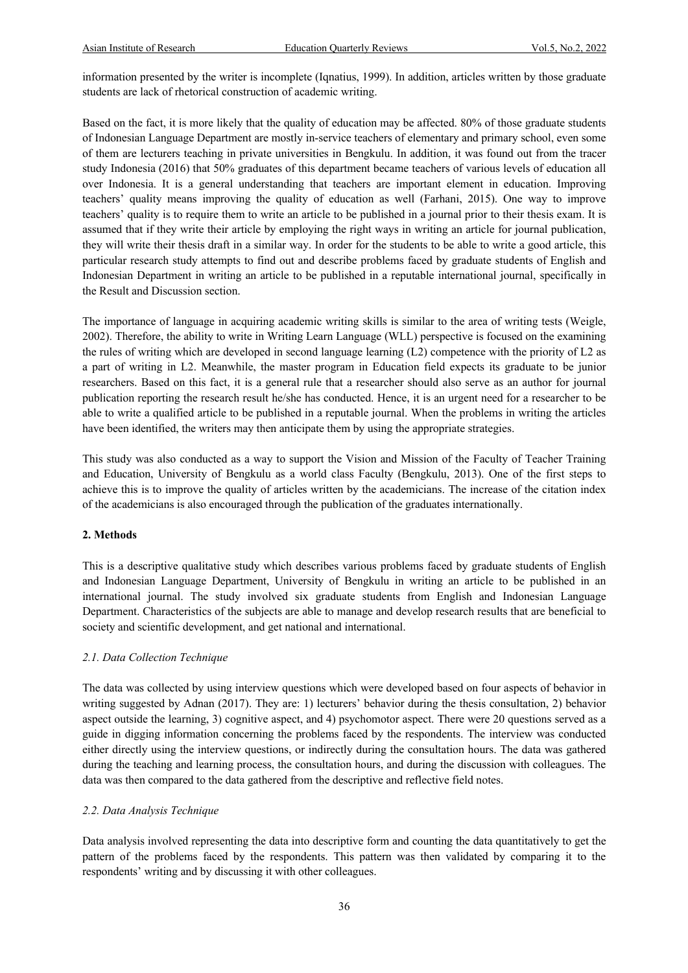information presented by the writer is incomplete (Iqnatius, 1999). In addition, articles written by those graduate students are lack of rhetorical construction of academic writing.

Based on the fact, it is more likely that the quality of education may be affected. 80% of those graduate students of Indonesian Language Department are mostly in-service teachers of elementary and primary school, even some of them are lecturers teaching in private universities in Bengkulu. In addition, it was found out from the tracer study Indonesia (2016) that 50% graduates of this department became teachers of various levels of education all over Indonesia. It is a general understanding that teachers are important element in education. Improving teachers' quality means improving the quality of education as well (Farhani, 2015). One way to improve teachers' quality is to require them to write an article to be published in a journal prior to their thesis exam. It is assumed that if they write their article by employing the right ways in writing an article for journal publication, they will write their thesis draft in a similar way. In order for the students to be able to write a good article, this particular research study attempts to find out and describe problems faced by graduate students of English and Indonesian Department in writing an article to be published in a reputable international journal, specifically in the Result and Discussion section.

The importance of language in acquiring academic writing skills is similar to the area of writing tests (Weigle, 2002). Therefore, the ability to write in Writing Learn Language (WLL) perspective is focused on the examining the rules of writing which are developed in second language learning (L2) competence with the priority of L2 as a part of writing in L2. Meanwhile, the master program in Education field expects its graduate to be junior researchers. Based on this fact, it is a general rule that a researcher should also serve as an author for journal publication reporting the research result he/she has conducted. Hence, it is an urgent need for a researcher to be able to write a qualified article to be published in a reputable journal. When the problems in writing the articles have been identified, the writers may then anticipate them by using the appropriate strategies.

This study was also conducted as a way to support the Vision and Mission of the Faculty of Teacher Training and Education, University of Bengkulu as a world class Faculty (Bengkulu, 2013). One of the first steps to achieve this is to improve the quality of articles written by the academicians. The increase of the citation index of the academicians is also encouraged through the publication of the graduates internationally.

#### **2. Methods**

This is a descriptive qualitative study which describes various problems faced by graduate students of English and Indonesian Language Department, University of Bengkulu in writing an article to be published in an international journal. The study involved six graduate students from English and Indonesian Language Department. Characteristics of the subjects are able to manage and develop research results that are beneficial to society and scientific development, and get national and international.

#### *2.1. Data Collection Technique*

The data was collected by using interview questions which were developed based on four aspects of behavior in writing suggested by Adnan (2017). They are: 1) lecturers' behavior during the thesis consultation, 2) behavior aspect outside the learning, 3) cognitive aspect, and 4) psychomotor aspect. There were 20 questions served as a guide in digging information concerning the problems faced by the respondents. The interview was conducted either directly using the interview questions, or indirectly during the consultation hours. The data was gathered during the teaching and learning process, the consultation hours, and during the discussion with colleagues. The data was then compared to the data gathered from the descriptive and reflective field notes.

#### *2.2. Data Analysis Technique*

Data analysis involved representing the data into descriptive form and counting the data quantitatively to get the pattern of the problems faced by the respondents. This pattern was then validated by comparing it to the respondents' writing and by discussing it with other colleagues.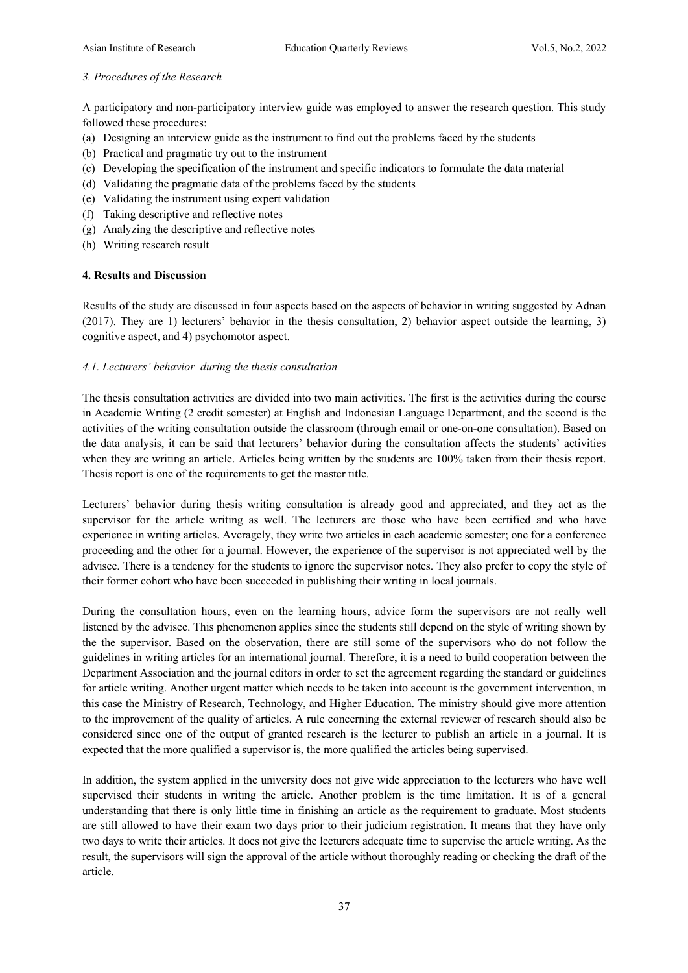### *3. Procedures of the Research*

A participatory and non-participatory interview guide was employed to answer the research question. This study followed these procedures:

- (a) Designing an interview guide as the instrument to find out the problems faced by the students
- (b) Practical and pragmatic try out to the instrument
- (c) Developing the specification of the instrument and specific indicators to formulate the data material
- (d) Validating the pragmatic data of the problems faced by the students
- (e) Validating the instrument using expert validation
- (f) Taking descriptive and reflective notes
- (g) Analyzing the descriptive and reflective notes
- (h) Writing research result

### **4. Results and Discussion**

Results of the study are discussed in four aspects based on the aspects of behavior in writing suggested by Adnan (2017). They are 1) lecturers' behavior in the thesis consultation, 2) behavior aspect outside the learning, 3) cognitive aspect, and 4) psychomotor aspect.

# *4.1. Lecturers' behavior during the thesis consultation*

The thesis consultation activities are divided into two main activities. The first is the activities during the course in Academic Writing (2 credit semester) at English and Indonesian Language Department, and the second is the activities of the writing consultation outside the classroom (through email or one-on-one consultation). Based on the data analysis, it can be said that lecturers' behavior during the consultation affects the students' activities when they are writing an article. Articles being written by the students are 100% taken from their thesis report. Thesis report is one of the requirements to get the master title.

Lecturers' behavior during thesis writing consultation is already good and appreciated, and they act as the supervisor for the article writing as well. The lecturers are those who have been certified and who have experience in writing articles. Averagely, they write two articles in each academic semester; one for a conference proceeding and the other for a journal. However, the experience of the supervisor is not appreciated well by the advisee. There is a tendency for the students to ignore the supervisor notes. They also prefer to copy the style of their former cohort who have been succeeded in publishing their writing in local journals.

During the consultation hours, even on the learning hours, advice form the supervisors are not really well listened by the advisee. This phenomenon applies since the students still depend on the style of writing shown by the the supervisor. Based on the observation, there are still some of the supervisors who do not follow the guidelines in writing articles for an international journal. Therefore, it is a need to build cooperation between the Department Association and the journal editors in order to set the agreement regarding the standard or guidelines for article writing. Another urgent matter which needs to be taken into account is the government intervention, in this case the Ministry of Research, Technology, and Higher Education. The ministry should give more attention to the improvement of the quality of articles. A rule concerning the external reviewer of research should also be considered since one of the output of granted research is the lecturer to publish an article in a journal. It is expected that the more qualified a supervisor is, the more qualified the articles being supervised.

In addition, the system applied in the university does not give wide appreciation to the lecturers who have well supervised their students in writing the article. Another problem is the time limitation. It is of a general understanding that there is only little time in finishing an article as the requirement to graduate. Most students are still allowed to have their exam two days prior to their judicium registration. It means that they have only two days to write their articles. It does not give the lecturers adequate time to supervise the article writing. As the result, the supervisors will sign the approval of the article without thoroughly reading or checking the draft of the article.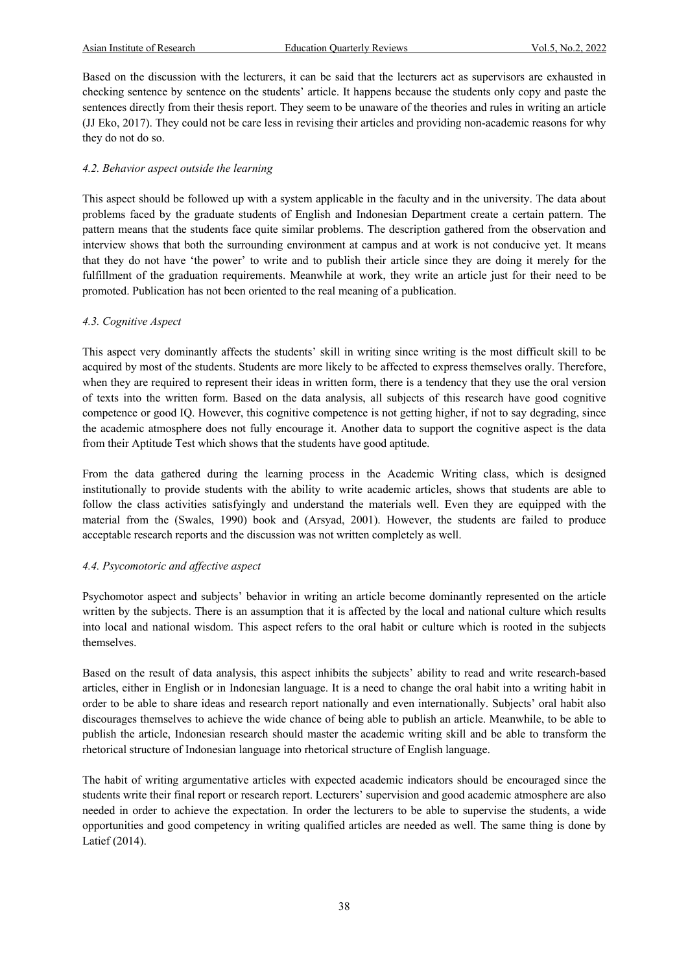Based on the discussion with the lecturers, it can be said that the lecturers act as supervisors are exhausted in checking sentence by sentence on the students' article. It happens because the students only copy and paste the sentences directly from their thesis report. They seem to be unaware of the theories and rules in writing an article (JJ Eko, 2017). They could not be care less in revising their articles and providing non-academic reasons for why they do not do so.

# *4.2. Behavior aspect outside the learning*

This aspect should be followed up with a system applicable in the faculty and in the university. The data about problems faced by the graduate students of English and Indonesian Department create a certain pattern. The pattern means that the students face quite similar problems. The description gathered from the observation and interview shows that both the surrounding environment at campus and at work is not conducive yet. It means that they do not have 'the power' to write and to publish their article since they are doing it merely for the fulfillment of the graduation requirements. Meanwhile at work, they write an article just for their need to be promoted. Publication has not been oriented to the real meaning of a publication.

# *4.3. Cognitive Aspect*

This aspect very dominantly affects the students' skill in writing since writing is the most difficult skill to be acquired by most of the students. Students are more likely to be affected to express themselves orally. Therefore, when they are required to represent their ideas in written form, there is a tendency that they use the oral version of texts into the written form. Based on the data analysis, all subjects of this research have good cognitive competence or good IQ. However, this cognitive competence is not getting higher, if not to say degrading, since the academic atmosphere does not fully encourage it. Another data to support the cognitive aspect is the data from their Aptitude Test which shows that the students have good aptitude.

From the data gathered during the learning process in the Academic Writing class, which is designed institutionally to provide students with the ability to write academic articles, shows that students are able to follow the class activities satisfyingly and understand the materials well. Even they are equipped with the material from the (Swales, 1990) book and (Arsyad, 2001). However, the students are failed to produce acceptable research reports and the discussion was not written completely as well.

### *4.4. Psycomotoric and affective aspect*

Psychomotor aspect and subjects' behavior in writing an article become dominantly represented on the article written by the subjects. There is an assumption that it is affected by the local and national culture which results into local and national wisdom. This aspect refers to the oral habit or culture which is rooted in the subjects themselves.

Based on the result of data analysis, this aspect inhibits the subjects' ability to read and write research-based articles, either in English or in Indonesian language. It is a need to change the oral habit into a writing habit in order to be able to share ideas and research report nationally and even internationally. Subjects' oral habit also discourages themselves to achieve the wide chance of being able to publish an article. Meanwhile, to be able to publish the article, Indonesian research should master the academic writing skill and be able to transform the rhetorical structure of Indonesian language into rhetorical structure of English language.

The habit of writing argumentative articles with expected academic indicators should be encouraged since the students write their final report or research report. Lecturers' supervision and good academic atmosphere are also needed in order to achieve the expectation. In order the lecturers to be able to supervise the students, a wide opportunities and good competency in writing qualified articles are needed as well. The same thing is done by Latief (2014).